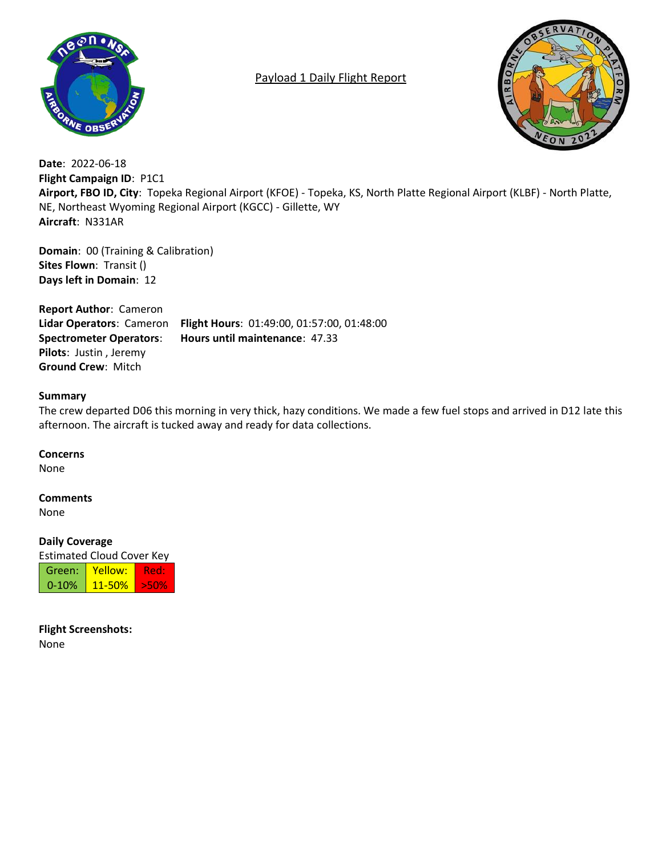

# Payload 1 Daily Flight Report



**Date**: 2022-06-18 **Flight Campaign ID**: P1C1 **Airport, FBO ID, City**: Topeka Regional Airport (KFOE) - Topeka, KS, North Platte Regional Airport (KLBF) - North Platte, NE, Northeast Wyoming Regional Airport (KGCC) - Gillette, WY **Aircraft**: N331AR

**Domain**: 00 (Training & Calibration) **Sites Flown**: Transit () **Days left in Domain**: 12

**Report Author**: Cameron **Lidar Operators**: Cameron **Flight Hours**: 01:49:00, 01:57:00, 01:48:00 **Spectrometer Operators**: **Hours until maintenance**: 47.33 **Pilots**: Justin , Jeremy **Ground Crew**: Mitch

# **Summary**

The crew departed D06 this morning in very thick, hazy conditions. We made a few fuel stops and arrived in D12 late this afternoon. The aircraft is tucked away and ready for data collections.

**Concerns**

None

# **Comments**

None

# **Daily Coverage**

Estimated Cloud Cover Key

| Green:    | Yellow:    | -de gr |
|-----------|------------|--------|
| $0 - 10%$ | $11 - 50%$ | 5502   |

**Flight Screenshots:** None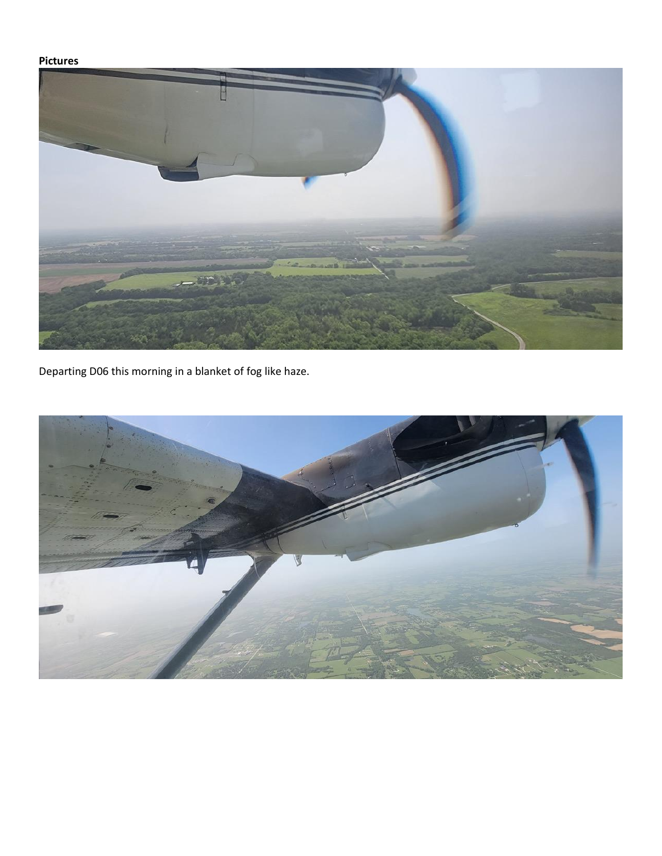# **Pictures**



Departing D06 this morning in a blanket of fog like haze.